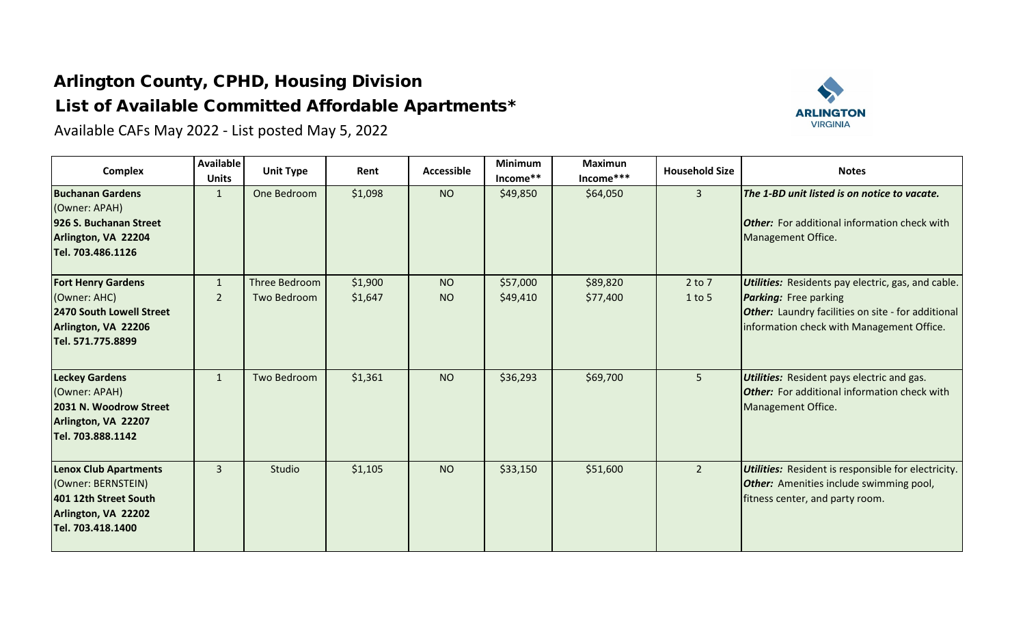## Arlington County, CPHD, Housing Division List of Available Committed Affordable Apartments\*

Available CAFs May 2022 - List posted May 5, 2022



| <b>Complex</b>                                                                                                          | <b>Available</b><br><b>Units</b> | <b>Unit Type</b>                    | Rent               | <b>Accessible</b>      | <b>Minimum</b><br>Income** | <b>Maximun</b><br>Income*** | <b>Household Size</b> | <b>Notes</b>                                                                                                                                                                                        |
|-------------------------------------------------------------------------------------------------------------------------|----------------------------------|-------------------------------------|--------------------|------------------------|----------------------------|-----------------------------|-----------------------|-----------------------------------------------------------------------------------------------------------------------------------------------------------------------------------------------------|
| <b>Buchanan Gardens</b><br>(Owner: APAH)<br>926 S. Buchanan Street<br>Arlington, VA 22204<br>Tel. 703.486.1126          | $\mathbf{1}$                     | One Bedroom                         | \$1,098            | <b>NO</b>              | \$49,850                   | \$64,050                    | 3                     | The 1-BD unit listed is on notice to vacate.<br><b>Other:</b> For additional information check with<br>Management Office.                                                                           |
| <b>Fort Henry Gardens</b><br>(Owner: AHC)<br>2470 South Lowell Street<br>Arlington, VA 22206<br>Tel. 571.775.8899       | $\mathbf{1}$<br>$\overline{2}$   | <b>Three Bedroom</b><br>Two Bedroom | \$1,900<br>\$1,647 | <b>NO</b><br><b>NO</b> | \$57,000<br>\$49,410       | \$89,820<br>\$77,400        | $2$ to $7$<br>1 to 5  | <b>Utilities:</b> Residents pay electric, gas, and cable.<br><b>Parking:</b> Free parking<br><b>Other:</b> Laundry facilities on site - for additional<br>information check with Management Office. |
| <b>Leckey Gardens</b><br>(Owner: APAH)<br>2031 N. Woodrow Street<br>Arlington, VA 22207<br>Tel. 703.888.1142            | $\mathbf{1}$                     | Two Bedroom                         | \$1,361            | <b>NO</b>              | \$36,293                   | \$69,700                    | 5                     | <b>Utilities:</b> Resident pays electric and gas.<br><b>Other:</b> For additional information check with<br>Management Office.                                                                      |
| <b>Lenox Club Apartments</b><br>(Owner: BERNSTEIN)<br>401 12th Street South<br>Arlington, VA 22202<br>Tel. 703.418.1400 | $\mathbf{3}$                     | Studio                              | \$1,105            | <b>NO</b>              | \$33,150                   | \$51,600                    | $\overline{2}$        | <b>Utilities:</b> Resident is responsible for electricity.<br><b>Other:</b> Amenities include swimming pool,<br>fitness center, and party room.                                                     |